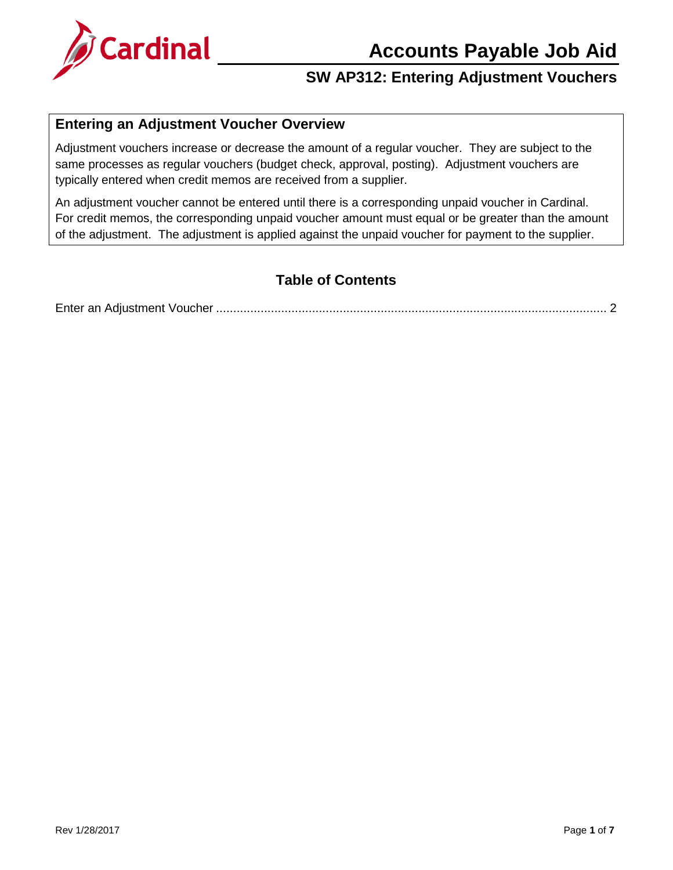

#### **Entering an Adjustment Voucher Overview**

Adjustment vouchers increase or decrease the amount of a regular voucher. They are subject to the same processes as regular vouchers (budget check, approval, posting). Adjustment vouchers are typically entered when credit memos are received from a supplier.

An adjustment voucher cannot be entered until there is a corresponding unpaid voucher in Cardinal. For credit memos, the corresponding unpaid voucher amount must equal or be greater than the amount of the adjustment. The adjustment is applied against the unpaid voucher for payment to the supplier.

#### **Table of Contents**

Enter an Adjustment Voucher [..................................................................................................................](#page-1-0) 2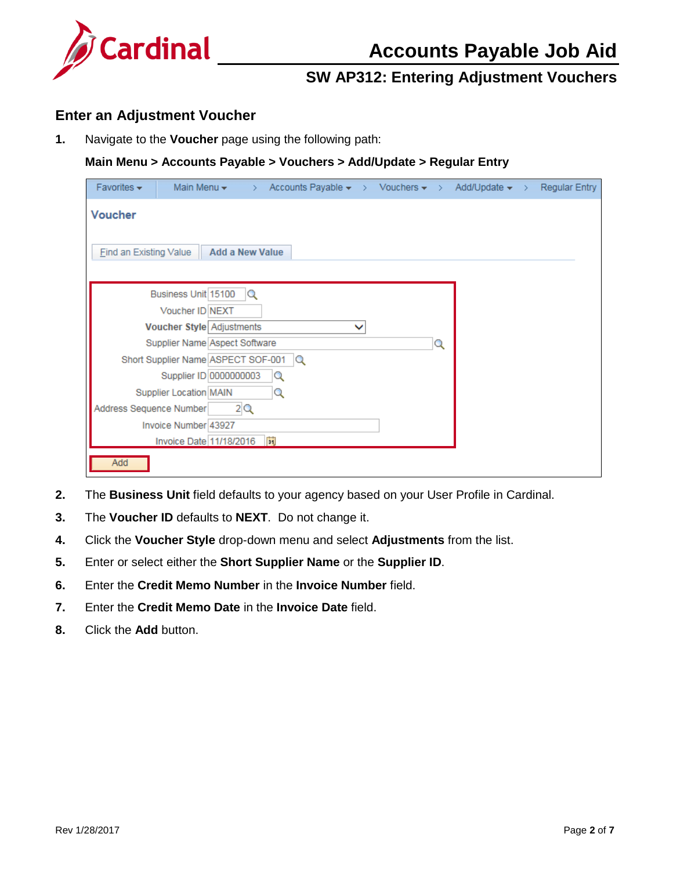

#### <span id="page-1-0"></span>**Enter an Adjustment Voucher**

**1.** Navigate to the **Voucher** page using the following path:

#### **Main Menu > Accounts Payable > Vouchers > Add/Update > Regular Entry**

| Favorites $\star$             | Main Menu $\star$                  | Accounts Payable $\star \rightarrow$ Vouchers $\star \rightarrow$ Add/Update $\star \rightarrow$<br>> |  |   |  | <b>Regular Entry</b> |
|-------------------------------|------------------------------------|-------------------------------------------------------------------------------------------------------|--|---|--|----------------------|
| <b>Voucher</b>                |                                    |                                                                                                       |  |   |  |                      |
| <b>Find an Existing Value</b> |                                    | <b>Add a New Value</b>                                                                                |  |   |  |                      |
|                               |                                    |                                                                                                       |  |   |  |                      |
|                               | Business Unit 15100                | Q                                                                                                     |  |   |  |                      |
|                               | Voucher ID NEXT                    |                                                                                                       |  |   |  |                      |
|                               | Voucher Style Adjustments          |                                                                                                       |  |   |  |                      |
|                               | Supplier Name Aspect Software      |                                                                                                       |  | Q |  |                      |
|                               | Short Supplier Name ASPECT SOF-001 | lQ.                                                                                                   |  |   |  |                      |
|                               | Supplier ID 0000000003             | Q                                                                                                     |  |   |  |                      |
|                               | <b>Supplier Location MAIN</b>      | Q                                                                                                     |  |   |  |                      |
| Address Sequence Number       |                                    | 2Q                                                                                                    |  |   |  |                      |
|                               | Invoice Number 43927               |                                                                                                       |  |   |  |                      |
|                               | Invoice Date 11/18/2016            | FJ                                                                                                    |  |   |  |                      |
| Add                           |                                    |                                                                                                       |  |   |  |                      |

- **2.** The **Business Unit** field defaults to your agency based on your User Profile in Cardinal.
- **3.** The **Voucher ID** defaults to **NEXT**. Do not change it.
- **4.** Click the **Voucher Style** drop-down menu and select **Adjustments** from the list.
- **5.** Enter or select either the **Short Supplier Name** or the **Supplier ID**.
- **6.** Enter the **Credit Memo Number** in the **Invoice Number** field.
- **7.** Enter the **Credit Memo Date** in the **Invoice Date** field.
- **8.** Click the **Add** button.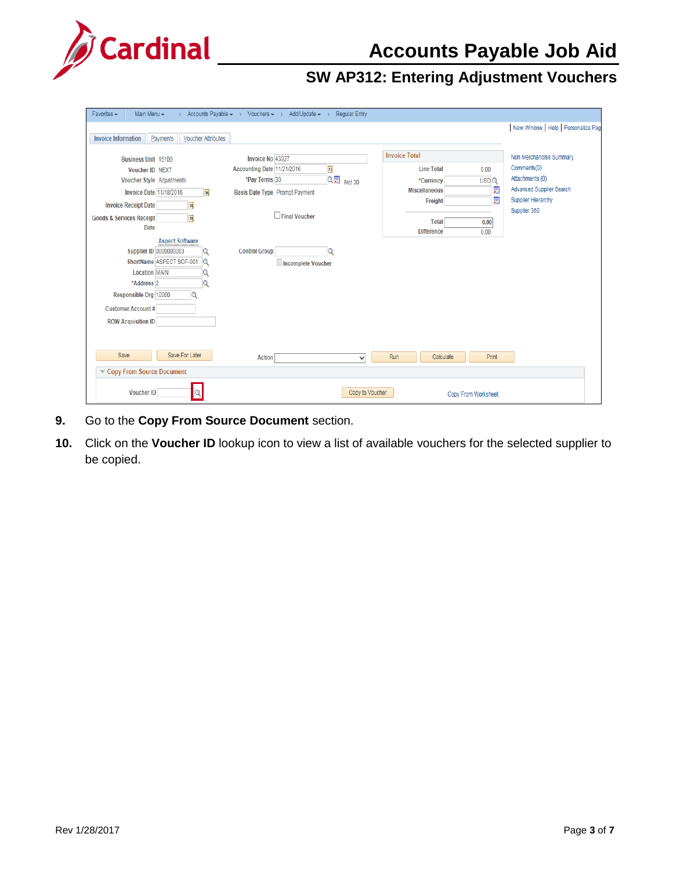

| Favorites -<br>Main Menu $\star$<br>Accounts Payable $\star$ > Vouchers $\star$ > Add/Update $\star$ ><br>$\rightarrow$                                                                                                                                             | <b>Regular Entry</b>    |                                                                                                     |                                                                                       |
|---------------------------------------------------------------------------------------------------------------------------------------------------------------------------------------------------------------------------------------------------------------------|-------------------------|-----------------------------------------------------------------------------------------------------|---------------------------------------------------------------------------------------|
|                                                                                                                                                                                                                                                                     |                         |                                                                                                     | New Window   Help   Personalize Pag                                                   |
| <b>Voucher Attributes</b><br><b>Invoice Information</b><br>Payments                                                                                                                                                                                                 |                         |                                                                                                     |                                                                                       |
| Invoice No 43927<br><b>Business Unit 15100</b><br>Accounting Date 11/21/2016<br><b>Voucher ID NEXT</b><br>*Pay Terms 30<br>Voucher Style Adjustments<br><b>Invoice Date 11/18/2016</b><br>E<br>Basis Date Type Prompt Payment                                       | Ë<br>Q同<br>Net 30       | <b>Invoice Total</b><br><b>Line Total</b><br>0.00<br>USDQ<br>*Currency<br>剭<br><b>Miscellaneous</b> | Non Merchandise Summary<br>Comments(0)<br>Attachments (0)<br>Advanced Supplier Search |
| ij<br><b>Invoice Receipt Date</b>                                                                                                                                                                                                                                   |                         | 圜<br>Freight                                                                                        | <b>Supplier Hierarchy</b><br>Supplier 360                                             |
| Ħ<br><b>Goods &amp; Services Receipt</b><br><b>Date</b>                                                                                                                                                                                                             | Final Voucher           | <b>Total</b><br>0.00<br><b>Difference</b><br>0.00                                                   |                                                                                       |
| <b>Aspect Software</b><br><b>Supplier ID 0000000003</b><br><b>Control Group</b><br>Q<br>ShortName ASPECT SOF-001<br>Q<br><b>Location MAIN</b><br>Q<br>*Address <sub>2</sub><br>Q<br>Responsible Org 10000<br><b>Customer Account #</b><br><b>ROW Acquisition ID</b> | Q<br>Incomplete Voucher |                                                                                                     |                                                                                       |
| Save For Later<br>Save<br><b>Action</b><br>Copy From Source Document                                                                                                                                                                                                | Run<br>$\checkmark$     | Calculate<br>Print                                                                                  |                                                                                       |
| <b>Voucher ID</b>                                                                                                                                                                                                                                                   | Copy to Voucher         | Copy From Worksheet                                                                                 |                                                                                       |

- **9.** Go to the **Copy From Source Document** section.
- **10.** Click on the **Voucher ID** lookup icon to view a list of available vouchers for the selected supplier to be copied.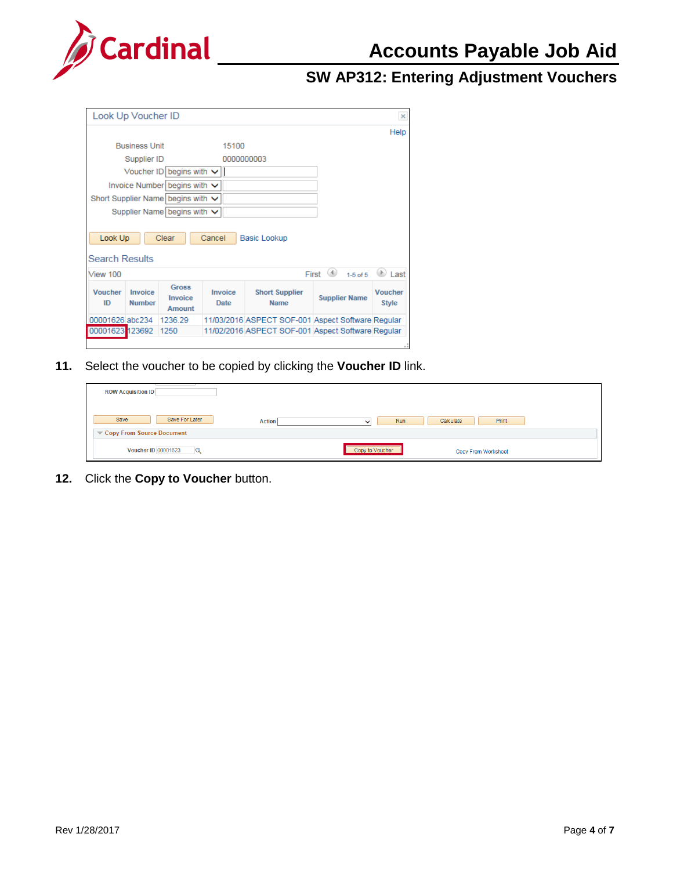

# **Accounts Payable Job Aid**

# **SW AP312: Entering Adjustment Vouchers**

|                                  | Look Up Voucher ID       |                                        |                        |                                                   |                       | $\times$                       |
|----------------------------------|--------------------------|----------------------------------------|------------------------|---------------------------------------------------|-----------------------|--------------------------------|
|                                  |                          |                                        |                        |                                                   |                       | Help                           |
|                                  | <b>Business Unit</b>     |                                        | 15100                  |                                                   |                       |                                |
|                                  | Supplier ID              |                                        |                        | 0000000003                                        |                       |                                |
|                                  |                          | Voucher ID begins with $\vee$          |                        |                                                   |                       |                                |
|                                  |                          | Invoice Number begins with $\vee$      |                        |                                                   |                       |                                |
|                                  |                          | Short Supplier Name begins with $\vee$ |                        |                                                   |                       |                                |
|                                  |                          | Supplier Name begins with $\vee$       |                        |                                                   |                       |                                |
|                                  |                          |                                        |                        |                                                   |                       |                                |
| Look Up<br><b>Search Results</b> |                          | Clear                                  | Cancel                 | Basic Lookup                                      |                       |                                |
| View 100                         |                          |                                        |                        |                                                   | $1-5$ of $5$<br>First |                                |
| <b>Voucher</b><br>ID             | Invoice<br><b>Number</b> | <b>Gross</b><br>Invoice<br>Amount      | Invoice<br><b>Date</b> | <b>Short Supplier</b><br><b>Name</b>              | <b>Supplier Name</b>  | <b>Voucher</b><br><b>Style</b> |
| 00001626 abc234                  |                          | 1236.29                                |                        | 11/03/2016 ASPECT SOF-001 Aspect Software Regular |                       | Last                           |

**11.** Select the voucher to be copied by clicking the **Voucher ID** link.

| <b>ROW Acquisition ID</b>       |               |                     |                     |  |
|---------------------------------|---------------|---------------------|---------------------|--|
| Save For Later<br>Save          | <b>Action</b> | Run<br>$\checkmark$ | Calculate<br>Print  |  |
| Copy From Source Document       |               |                     |                     |  |
| <b>Voucher ID 00001623</b><br>Q |               | Copy to Voucher     | Copy From Worksheet |  |

**12.** Click the **Copy to Voucher** button.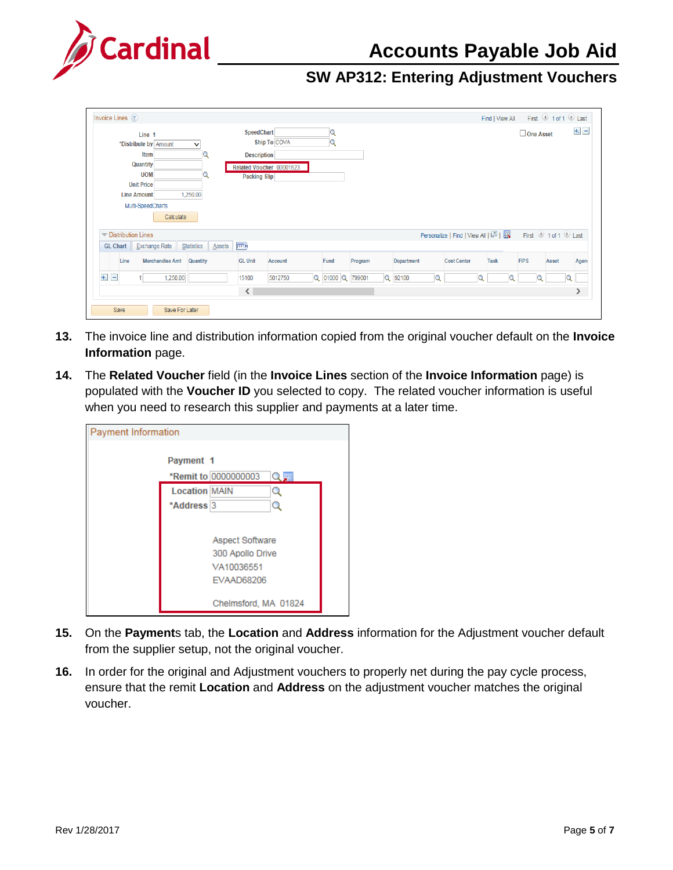

| Invoice Lines (?)                                                                                                                                                         |                                                                                                     |                  |                                   | First 1 of 1 2 Last<br>Find   View All      |
|---------------------------------------------------------------------------------------------------------------------------------------------------------------------------|-----------------------------------------------------------------------------------------------------|------------------|-----------------------------------|---------------------------------------------|
| Line 1<br>*Distribute by Amount<br>∨<br>Item<br>Q<br>Quantity<br><b>UOM</b><br>Q<br><b>Unit Price</b><br>1,250.00<br><b>Line Amount</b><br>Multi-SpeedCharts<br>Calculate | SpeedChart<br>Ship To COVA<br><b>Description</b><br>Related Voucher 00001623<br><b>Packing Slip</b> | Q<br>Q           |                                   | $+$ $-$<br>One Asset                        |
| $\blacktriangledown$ Distribution Lines                                                                                                                                   |                                                                                                     |                  | Personalize   Find   View All   2 | First 1 of 1 D Last                         |
| Statistics<br>Exchange Rate<br>Assets<br><b>GL Chart</b>                                                                                                                  | $\Box$                                                                                              |                  |                                   |                                             |
| Line<br><b>Merchandise Amt</b><br>Quantity                                                                                                                                | <b>GL Unit</b><br><b>Account</b>                                                                    | Program<br>Fund  | Department<br><b>Cost Center</b>  | <b>Task</b><br><b>FIPS</b><br>Agen<br>Asset |
| $+$ $-$<br>1,250.00                                                                                                                                                       | 5012750<br>15100                                                                                    | Q 01000 Q 799001 | Q 92100<br>$\alpha$               | $\alpha$<br>Q<br>Q                          |
|                                                                                                                                                                           | $\langle$                                                                                           |                  |                                   | እ                                           |
| Save<br>Save For Later                                                                                                                                                    |                                                                                                     |                  |                                   |                                             |

- **13.** The invoice line and distribution information copied from the original voucher default on the **Invoice Information** page.
- **14.** The **Related Voucher** field (in the **Invoice Lines** section of the **Invoice Information** page) is populated with the **Voucher ID** you selected to copy. The related voucher information is useful when you need to research this supplier and payments at a later time.

| Payment Information |                                                                                                    |  |
|---------------------|----------------------------------------------------------------------------------------------------|--|
|                     | Payment 1<br>*Remit to 0000000003<br>Q国<br><b>Location MAIN</b><br>Q<br>*Address <sub>3</sub><br>Q |  |
|                     | <b>Aspect Software</b><br>300 Apollo Drive<br>VA10036551<br>EVAAD68206<br>Chelmsford, MA 01824     |  |

- **15.** On the **Payment**s tab, the **Location** and **Address** information for the Adjustment voucher default from the supplier setup, not the original voucher.
- **16.** In order for the original and Adjustment vouchers to properly net during the pay cycle process, ensure that the remit **Location** and **Address** on the adjustment voucher matches the original voucher.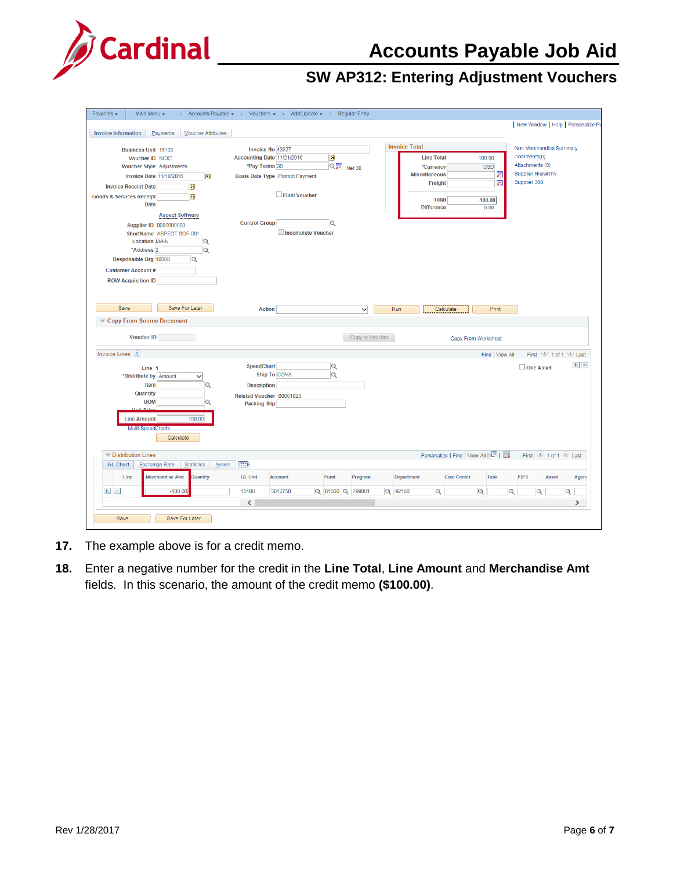



| Favorites -                                                                                     | Main Menu -                                                                                                                                                                                                                                                                                  | Accounts Payable $\star \rightarrow$ Vouchers $\star \rightarrow$ Add/Update $\star \rightarrow$ Regular Entry |                                                                                                                           |                |                                            |                                                  |                                 |                      |                                                                                                        |                                   |                        |                              |         |                                                                                                        |       |                     |         |
|-------------------------------------------------------------------------------------------------|----------------------------------------------------------------------------------------------------------------------------------------------------------------------------------------------------------------------------------------------------------------------------------------------|----------------------------------------------------------------------------------------------------------------|---------------------------------------------------------------------------------------------------------------------------|----------------|--------------------------------------------|--------------------------------------------------|---------------------------------|----------------------|--------------------------------------------------------------------------------------------------------|-----------------------------------|------------------------|------------------------------|---------|--------------------------------------------------------------------------------------------------------|-------|---------------------|---------|
|                                                                                                 |                                                                                                                                                                                                                                                                                              |                                                                                                                |                                                                                                                           |                |                                            |                                                  |                                 |                      |                                                                                                        |                                   |                        |                              |         | New Window   Help   Personalize Pa                                                                     |       |                     |         |
| <b>Invoice Information</b>                                                                      | Payments                                                                                                                                                                                                                                                                                     | <b>Voucher Attributes</b>                                                                                      |                                                                                                                           |                |                                            |                                                  |                                 |                      |                                                                                                        |                                   |                        |                              |         |                                                                                                        |       |                     |         |
| <b>Invoice Receipt Date</b><br><b>Goods &amp; Services Receipt</b><br><b>Customer Account #</b> | <b>Business Unit 15100</b><br>Voucher ID NEXT<br>Voucher Style Adjustments<br><b>Invoice Date 11/18/2016</b><br><b>Date</b><br><b>Aspect Software</b><br><b>Supplier ID 0000000003</b><br>ShortName ASPECT SOF-001<br><b>Location MAIN</b><br>*Address <sub>2</sub><br>Responsible Org 10000 | H <br>閩<br>h<br>Q<br>$\alpha$<br>$\mathbf Q$                                                                   | Invoice No 43927<br>Accounting Date 11/21/2016<br>*Pay Terms 30<br>Basis Date Type Prompt Payment<br><b>Control Group</b> |                | $\Box$ Final Voucher<br>Incomplete Voucher | Ħ<br>$Q_{\overline{2}}$ Net 30<br>$\overline{Q}$ |                                 | <b>Invoice Total</b> | <b>Line Total</b><br>*Currency<br><b>Miscellaneous</b><br>Freight<br><b>Total</b><br><b>Difference</b> |                                   | $-100.00$<br>$-100.00$ | <b>USD</b><br>圜<br>圜<br>0.00 |         | Non Merchandise Summary<br>Comments(0)<br>Attachments (0)<br><b>Supplier Hierarchy</b><br>Supplier 360 |       |                     |         |
| <b>ROW Acquisition ID</b>                                                                       |                                                                                                                                                                                                                                                                                              |                                                                                                                |                                                                                                                           |                |                                            |                                                  |                                 |                      |                                                                                                        |                                   |                        |                              |         |                                                                                                        |       |                     |         |
| Save                                                                                            | Copy From Source Document<br><b>Voucher ID</b>                                                                                                                                                                                                                                               | Save For Later                                                                                                 | <b>Action</b>                                                                                                             |                |                                            |                                                  | $\checkmark$<br>Copy to Voucher | Run                  |                                                                                                        | Calculate<br>Copy From Worksheet  |                        | Print                        |         |                                                                                                        |       |                     |         |
|                                                                                                 |                                                                                                                                                                                                                                                                                              |                                                                                                                |                                                                                                                           |                |                                            |                                                  |                                 |                      |                                                                                                        |                                   |                        | Find   View All              |         |                                                                                                        |       | First 1 of 1 2 Last |         |
| Invoice Lines (?)                                                                               | Line 1<br>*Distribute by Amount<br>Item<br>Quantity<br><b>UOM</b><br>+ Deix<br><b>Line Amount</b><br>Multi-SpeedCharts<br>Calculate                                                                                                                                                          | $\checkmark$<br>Q<br>Q<br>$-100.00$                                                                            | <b>SpeedChart</b><br><b>Description</b><br>Related Voucher 00001623<br><b>Packing Slip</b>                                | Ship To COVA   |                                            | $\alpha$<br>$\alpha$                             |                                 |                      |                                                                                                        |                                   |                        |                              |         | One Asset                                                                                              |       |                     | $+$ $-$ |
| <b>Distribution Lines</b>                                                                       |                                                                                                                                                                                                                                                                                              |                                                                                                                |                                                                                                                           |                |                                            |                                                  |                                 |                      |                                                                                                        | Personalize   Find   View All   2 |                        |                              |         |                                                                                                        |       | First 1 of 1 2 Last |         |
| <b>GL Chart</b>                                                                                 | Exchange Rate                                                                                                                                                                                                                                                                                | Statistics<br><b>Assets</b>                                                                                    | $\ket{=}$                                                                                                                 |                |                                            |                                                  |                                 |                      |                                                                                                        |                                   |                        |                              |         |                                                                                                        |       |                     |         |
| Line                                                                                            | <b>Merchandise Amt</b>                                                                                                                                                                                                                                                                       | Quantity                                                                                                       | <b>GL Unit</b>                                                                                                            | <b>Account</b> |                                            | Fund                                             | Program                         | <b>Department</b>    |                                                                                                        | <b>Cost Center</b>                |                        | <b>Task</b>                  |         | <b>FIPS</b>                                                                                            | Asset |                     |         |
| $+$ $-$                                                                                         | $-100.00$                                                                                                                                                                                                                                                                                    |                                                                                                                | 15100                                                                                                                     | 5012750        |                                            | Q 01000 Q 799001                                 |                                 | Q 92100              | Q                                                                                                      |                                   | Q                      |                              | $\circ$ |                                                                                                        | Q     | Q                   | Agen    |

- **17.** The example above is for a credit memo.
- **18.** Enter a negative number for the credit in the **Line Total**, **Line Amount** and **Merchandise Amt** fields. In this scenario, the amount of the credit memo **(\$100.00)**.